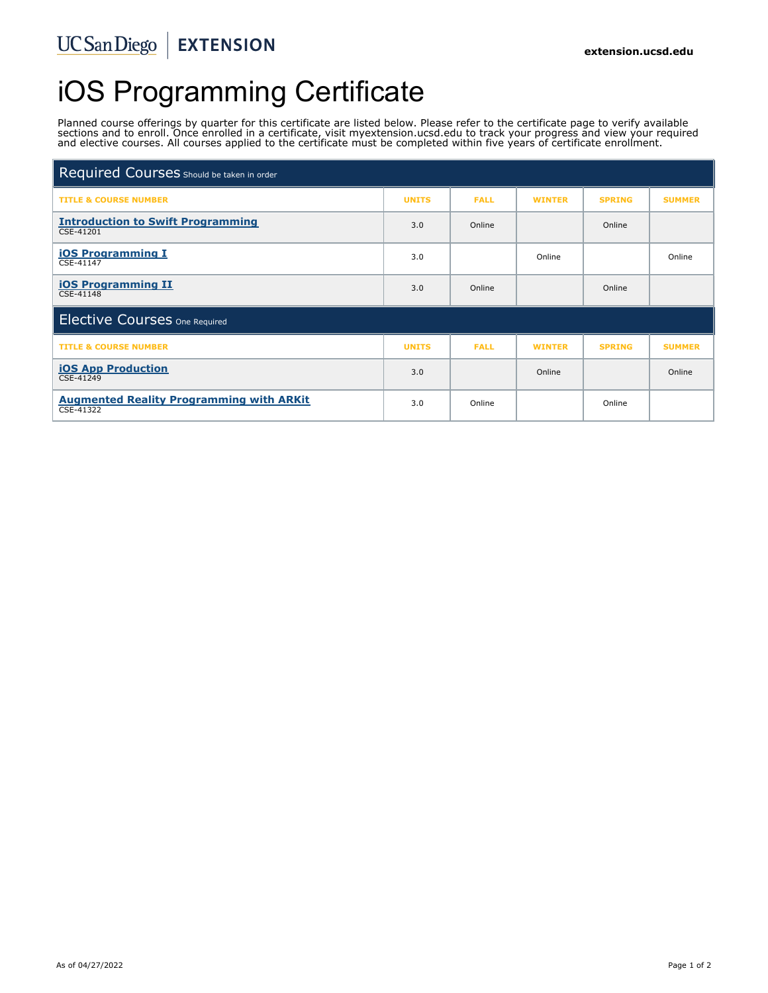# iOS Programming Certificate

Planned course offerings by quarter for this certificate are listed below. Please refer to the certificate page to verify available sections and to enroll. Once enrolled in a certificate, visit myextension.ucsd.edu to track your progress and view your required and elective courses. All courses applied to the certificate must be completed within five years of certificate enrollment.

| Required Courses Should be taken in order                    |              |             |               |               |               |
|--------------------------------------------------------------|--------------|-------------|---------------|---------------|---------------|
| <b>TITLE &amp; COURSE NUMBER</b>                             | <b>UNITS</b> | <b>FALL</b> | <b>WINTER</b> | <b>SPRING</b> | <b>SUMMER</b> |
| <b>Introduction to Swift Programming</b><br>CSE-41201        | 3.0          | Online      |               | Online        |               |
| <b>iOS Programming I</b><br>CSE-41147                        | 3.0          |             | Online        |               | Online        |
| <b>iOS Programming II</b><br>CSE-41148                       | 3.0          | Online      |               | Online        |               |
| <b>Elective Courses One Required</b>                         |              |             |               |               |               |
| <b>TITLE &amp; COURSE NUMBER</b>                             | <b>UNITS</b> | <b>FALL</b> | <b>WINTER</b> | <b>SPRING</b> | <b>SUMMER</b> |
| <b>iOS App Production</b><br>CSE-41249                       | 3.0          |             | Online        |               | Online        |
| <b>Augmented Reality Programming with ARKit</b><br>CSE-41322 | 3.0          | Online      |               | Online        |               |